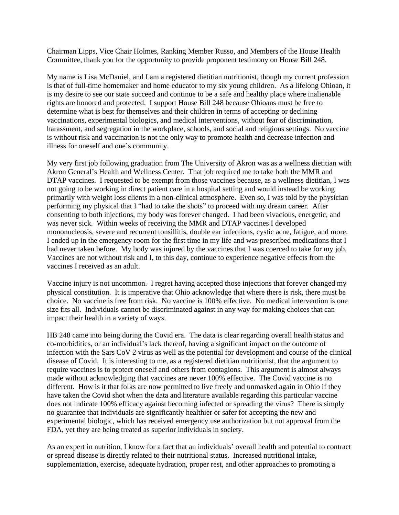Chairman Lipps, Vice Chair Holmes, Ranking Member Russo, and Members of the House Health Committee, thank you for the opportunity to provide proponent testimony on House Bill 248.

My name is Lisa McDaniel, and I am a registered dietitian nutritionist, though my current profession is that of full-time homemaker and home educator to my six young children. As a lifelong Ohioan, it is my desire to see our state succeed and continue to be a safe and healthy place where inalienable rights are honored and protected. I support House Bill 248 because Ohioans must be free to determine what is best for themselves and their children in terms of accepting or declining vaccinations, experimental biologics, and medical interventions, without fear of discrimination, harassment, and segregation in the workplace, schools, and social and religious settings. No vaccine is without risk and vaccination is not the only way to promote health and decrease infection and illness for oneself and one's community.

My very first job following graduation from The University of Akron was as a wellness dietitian with Akron General's Health and Wellness Center. That job required me to take both the MMR and DTAP vaccines. I requested to be exempt from those vaccines because, as a wellness dietitian, I was not going to be working in direct patient care in a hospital setting and would instead be working primarily with weight loss clients in a non-clinical atmosphere. Even so, I was told by the physician performing my physical that I "had to take the shots" to proceed with my dream career. After consenting to both injections, my body was forever changed. I had been vivacious, energetic, and was never sick. Within weeks of receiving the MMR and DTAP vaccines I developed mononucleosis, severe and recurrent tonsillitis, double ear infections, cystic acne, fatigue, and more. I ended up in the emergency room for the first time in my life and was prescribed medications that I had never taken before. My body was injured by the vaccines that I was coerced to take for my job. Vaccines are not without risk and I, to this day, continue to experience negative effects from the vaccines I received as an adult.

Vaccine injury is not uncommon. I regret having accepted those injections that forever changed my physical constitution. It is imperative that Ohio acknowledge that where there is risk, there must be choice. No vaccine is free from risk. No vaccine is 100% effective. No medical intervention is one size fits all. Individuals cannot be discriminated against in any way for making choices that can impact their health in a variety of ways.

HB 248 came into being during the Covid era. The data is clear regarding overall health status and co-morbidities, or an individual's lack thereof, having a significant impact on the outcome of infection with the Sars CoV 2 virus as well as the potential for development and course of the clinical disease of Covid. It is interesting to me, as a registered dietitian nutritionist, that the argument to require vaccines is to protect oneself and others from contagions. This argument is almost always made without acknowledging that vaccines are never 100% effective. The Covid vaccine is no different. How is it that folks are now permitted to live freely and unmasked again in Ohio if they have taken the Covid shot when the data and literature available regarding this particular vaccine does not indicate 100% efficacy against becoming infected or spreading the virus? There is simply no guarantee that individuals are significantly healthier or safer for accepting the new and experimental biologic, which has received emergency use authorization but not approval from the FDA, yet they are being treated as superior individuals in society.

As an expert in nutrition, I know for a fact that an individuals' overall health and potential to contract or spread disease is directly related to their nutritional status. Increased nutritional intake, supplementation, exercise, adequate hydration, proper rest, and other approaches to promoting a